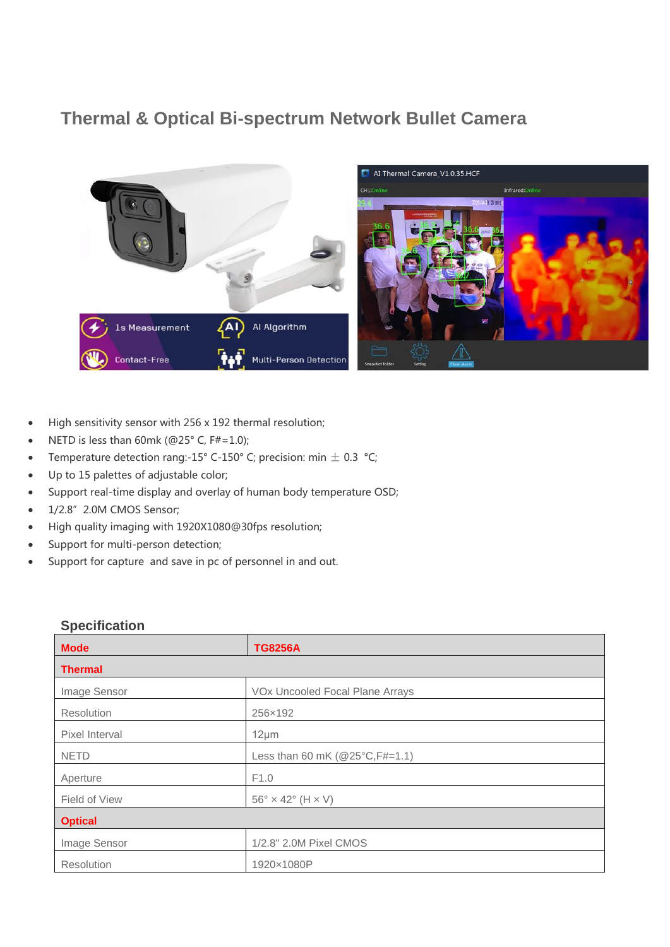## **Thermal & Optical Bi-spectrum Network Bullet Camera**



- High sensitivity sensor with 256 x 192 thermal resolution;
- NETD is less than 60mk (@25° C, F#=1.0);
- Temperature detection rang:-15° C-150° C; precision: min  $\pm$  0.3 °C;
- Up to 15 palettes of adjustable color;
- Support real-time display and overlay of human body temperature OSD;
- $\bullet$  1/2.8" 2.0M CMOS Sensor;
- High quality imaging with 1920X1080@30fps resolution;
- Support for multi-person detection;
- Support for capture and save in pc of personnel in and out.

## **Mode TG8256A Thermal** Image Sensor **VOx Uncooled Focal Plane Arrays** Resolution 256×192 Pixel Interval 12μm NETD Less than 60 mK (@25°C, F#=1.1) Aperture F1.0 Field of View  $56^\circ \times 42^\circ$  (H  $\times$  V) **Optical** Image Sensor 1/2.8" 2.0M Pixel CMOS Resolution 1920×1080P

## **Specification**